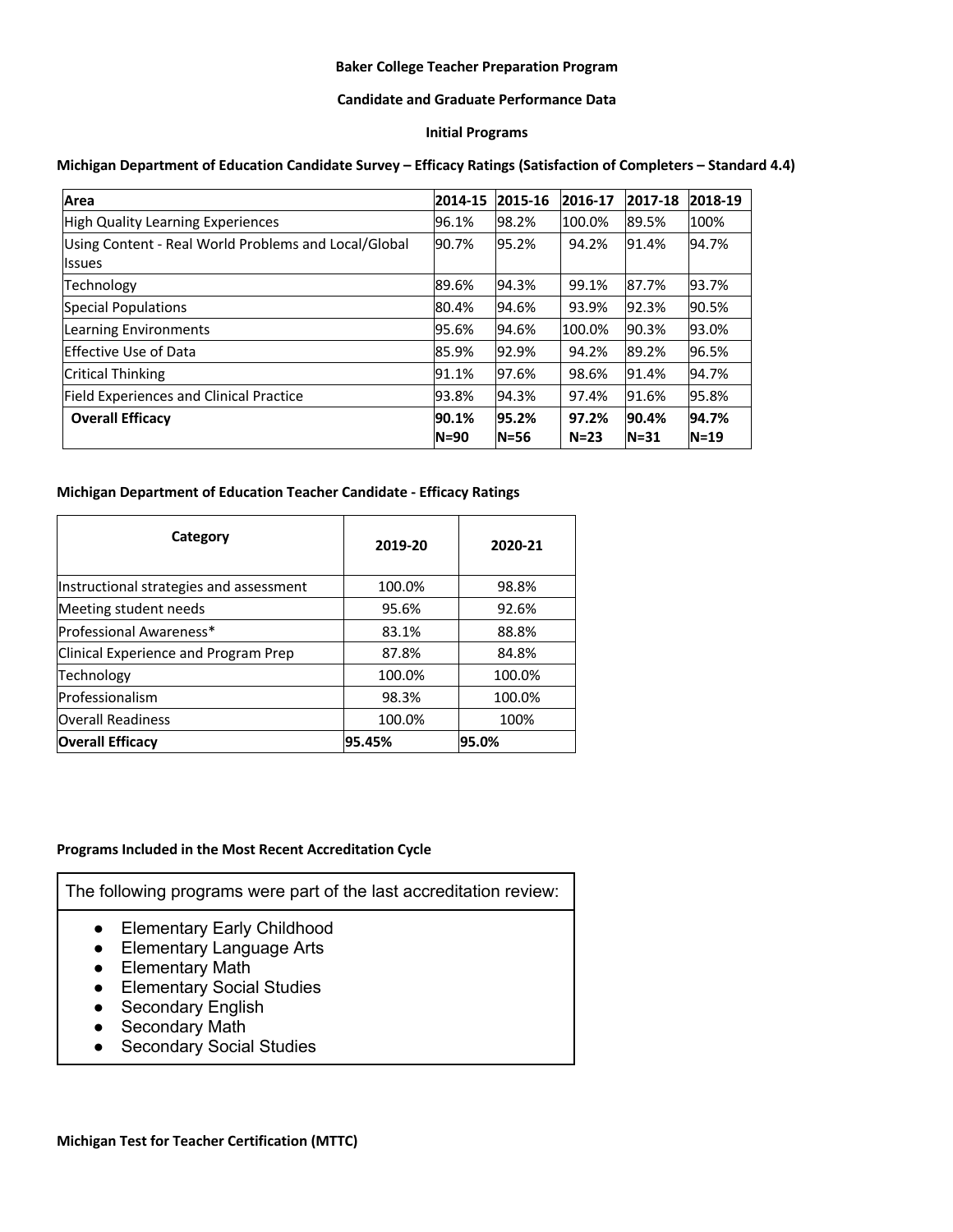## **Baker College Teacher Preparation Program**

#### **Candidate and Graduate Performance Data**

### **Initial Programs**

#### **Michigan Department of Education Candidate Survey – Efficacy Ratings (Satisfaction of Completers – Standard 4.4)**

| Area                                                                   | 2014-15           | 2015-16           | 2016-17         | 2017-18           | 2018-19         |
|------------------------------------------------------------------------|-------------------|-------------------|-----------------|-------------------|-----------------|
| High Quality Learning Experiences                                      | 96.1%             | 98.2%             | 100.0%          | 89.5%             | 100%            |
| Using Content - Real World Problems and Local/Global<br><b>Ilssues</b> | 90.7%             | 95.2%             | 94.2%           | 91.4%             | 94.7%           |
| Technology                                                             | 89.6%             | 94.3%             | 99.1%           | 87.7%             | 93.7%           |
| <b>Special Populations</b>                                             | 80.4%             | 94.6%             | 93.9%           | 92.3%             | 90.5%           |
| Learning Environments                                                  | 95.6%             | 94.6%             | 100.0%          | 90.3%             | 93.0%           |
| Effective Use of Data                                                  | 85.9%             | 92.9%             | 94.2%           | 89.2%             | 96.5%           |
| <b>Critical Thinking</b>                                               | 91.1%             | 97.6%             | 98.6%           | 91.4%             | 94.7%           |
| <b>Field Experiences and Clinical Practice</b>                         | 93.8%             | 94.3%             | 97.4%           | 91.6%             | 95.8%           |
| <b>Overall Efficacy</b>                                                | 90.1%<br>$N = 90$ | 95.2%<br>$N = 56$ | 97.2%<br>$N=23$ | 90.4%<br>$N = 31$ | 94.7%<br>$N=19$ |

#### **Michigan Department of Education Teacher Candidate - Efficacy Ratings**

| Category                                | 2019-20 | 2020-21 |
|-----------------------------------------|---------|---------|
| Instructional strategies and assessment | 100.0%  | 98.8%   |
| Meeting student needs                   | 95.6%   | 92.6%   |
| Professional Awareness*                 | 83.1%   | 88.8%   |
| Clinical Experience and Program Prep    | 87.8%   | 84.8%   |
| Technology                              | 100.0%  | 100.0%  |
| lProfessionalism                        | 98.3%   | 100.0%  |
| <b>Overall Readiness</b>                | 100.0%  | 100%    |
| <b>Overall Efficacy</b>                 | 95.45%  | 95.0%   |

# **Programs Included in the Most Recent Accreditation Cycle**

The following programs were part of the last accreditation review:

- Elementary Early Childhood
- Elementary Language Arts
- Elementary Math
- Elementary Social Studies
- Secondary English
- Secondary Math
- Secondary Social Studies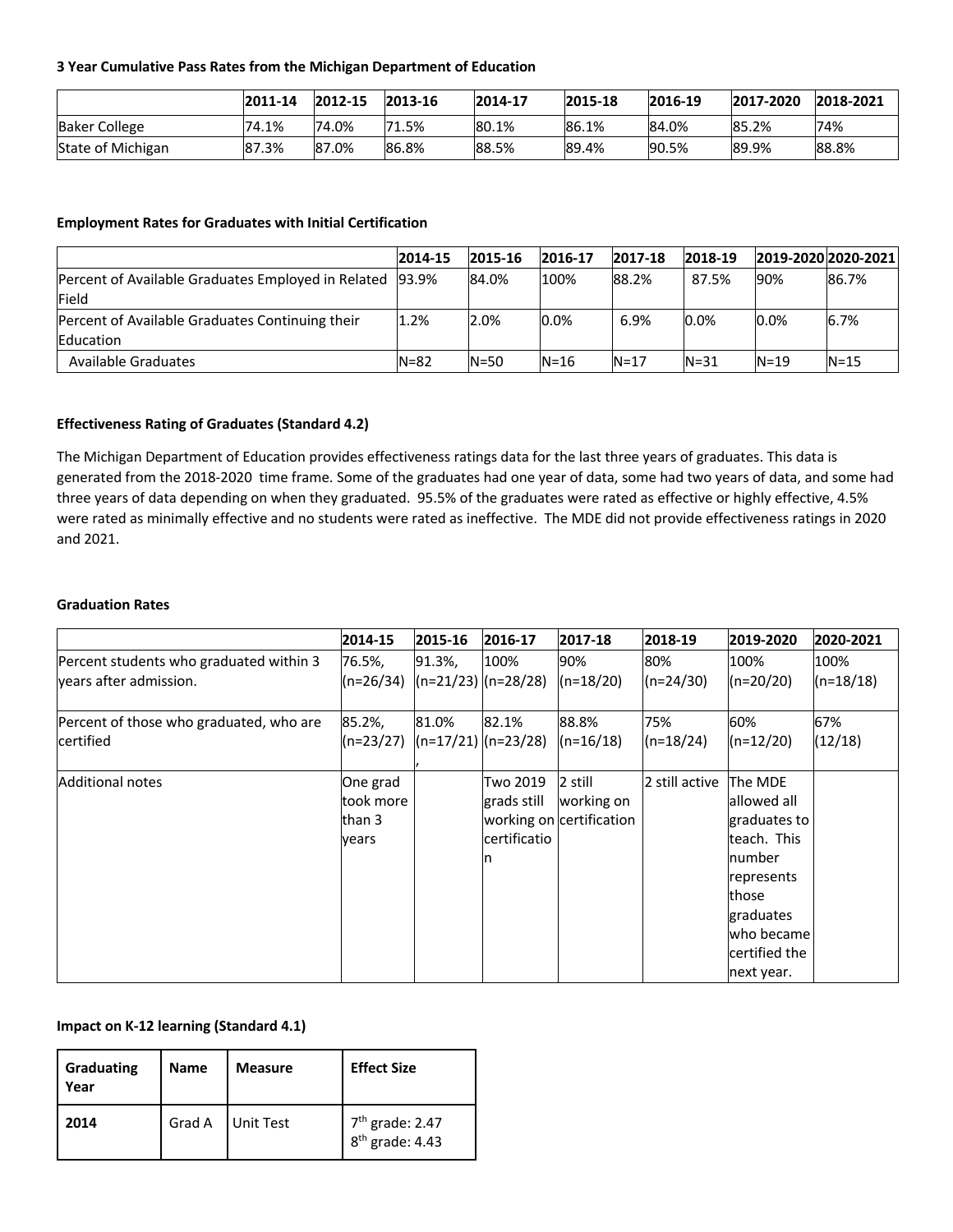### **3 Year Cumulative Pass Rates from the Michigan Department of Education**

|                      | 2011-14 | 2012-15 | 2013-16     | 2014-17 | 2015-18 | 2016-19 | 2017-2020 | 2018-2021 |
|----------------------|---------|---------|-------------|---------|---------|---------|-----------|-----------|
| <b>Baker College</b> | 74.1%   | 74.0%   | 1.5%<br>171 | 80.1%   | 86.1%   | 84.0%   | 85.2%     | 74%       |
| State of Michigan    | 87.3%   | 87.0%   | 86.8%       | 88.5%   | 89.4%   | 90.5%   | 89.9%     | 88.8%     |

## **Employment Rates for Graduates with Initial Certification**

|                                                          | 2014-15  | 2015-16  | 2016-17  | 2017-18 | 2018-19  | 2019-2020 2020-2021 |          |
|----------------------------------------------------------|----------|----------|----------|---------|----------|---------------------|----------|
| Percent of Available Graduates Employed in Related 93.9% |          | 84.0%    | 100%     | 88.2%   | 87.5%    | 90%                 | 86.7%    |
| <b>Field</b>                                             |          |          |          |         |          |                     |          |
| Percent of Available Graduates Continuing their          | 1.2%     | 2.0%     | 0.0%     | 6.9%    | 0.0%     | 0.0%                | 6.7%     |
| Education                                                |          |          |          |         |          |                     |          |
| Available Graduates                                      | $N = 82$ | $N = 50$ | $N = 16$ | $N=17$  | $N = 31$ | $N = 19$            | $N = 15$ |

### **Effectiveness Rating of Graduates (Standard 4.2)**

The Michigan Department of Education provides effectiveness ratings data for the last three years of graduates. This data is generated from the 2018-2020 time frame. Some of the graduates had one year of data, some had two years of data, and some had three years of data depending on when they graduated. 95.5% of the graduates were rated as effective or highly effective, 4.5% were rated as minimally effective and no students were rated as ineffective. The MDE did not provide effectiveness ratings in 2020 and 2021.

#### **Graduation Rates**

|                                         | 2014-15                                   | 2015-16 | 2016-17                                       | 2017-18                                           | 2018-19        | 2019-2020                                                                        | 2020-2021   |
|-----------------------------------------|-------------------------------------------|---------|-----------------------------------------------|---------------------------------------------------|----------------|----------------------------------------------------------------------------------|-------------|
| Percent students who graduated within 3 | 76.5%,                                    | 91.3%,  | 100%                                          | 90%                                               | 80%            | 100%                                                                             | 100%        |
| years after admission.                  | $(n=26/34)$                               |         | $\left  \frac{(n=21/23)}{(n=28/28)} \right $  | $(n=18/20)$                                       | $(n=24/30)$    | (n=20/20)                                                                        | $(n=18/18)$ |
| Percent of those who graduated, who are | 85.2%,                                    | 81.0%   | 82.1%                                         | 88.8%                                             | 75%            | 60%                                                                              | 67%         |
| certified                               | $(n=23/27)$                               |         | $(n=17/21)$ $(n=23/28)$                       | $(n=16/18)$                                       | $(n=18/24)$    | (n=12/20)                                                                        | (12/18)     |
| Additional notes                        | One grad<br>took more<br>lthan 3<br>years |         | Two 2019<br>grads still<br>certificatio<br>In | 2 still<br>working on<br>working on certification | 2 still active | lThe MDE<br>lallowed all<br>graduates to<br>teach. This<br>Inumber<br>represents |             |
|                                         |                                           |         |                                               |                                                   |                | those<br>graduates<br>lwho became<br>lcertified the<br>next year.                |             |

# **Impact on K-12 learning (Standard 4.1)**

| Graduating<br>Year | <b>Name</b> | <b>Measure</b> | <b>Effect Size</b>                               |
|--------------------|-------------|----------------|--------------------------------------------------|
| 2014               | Grad A      | Unit Test      | 7 <sup>th</sup> grade: 2.47<br>$8th$ grade: 4.43 |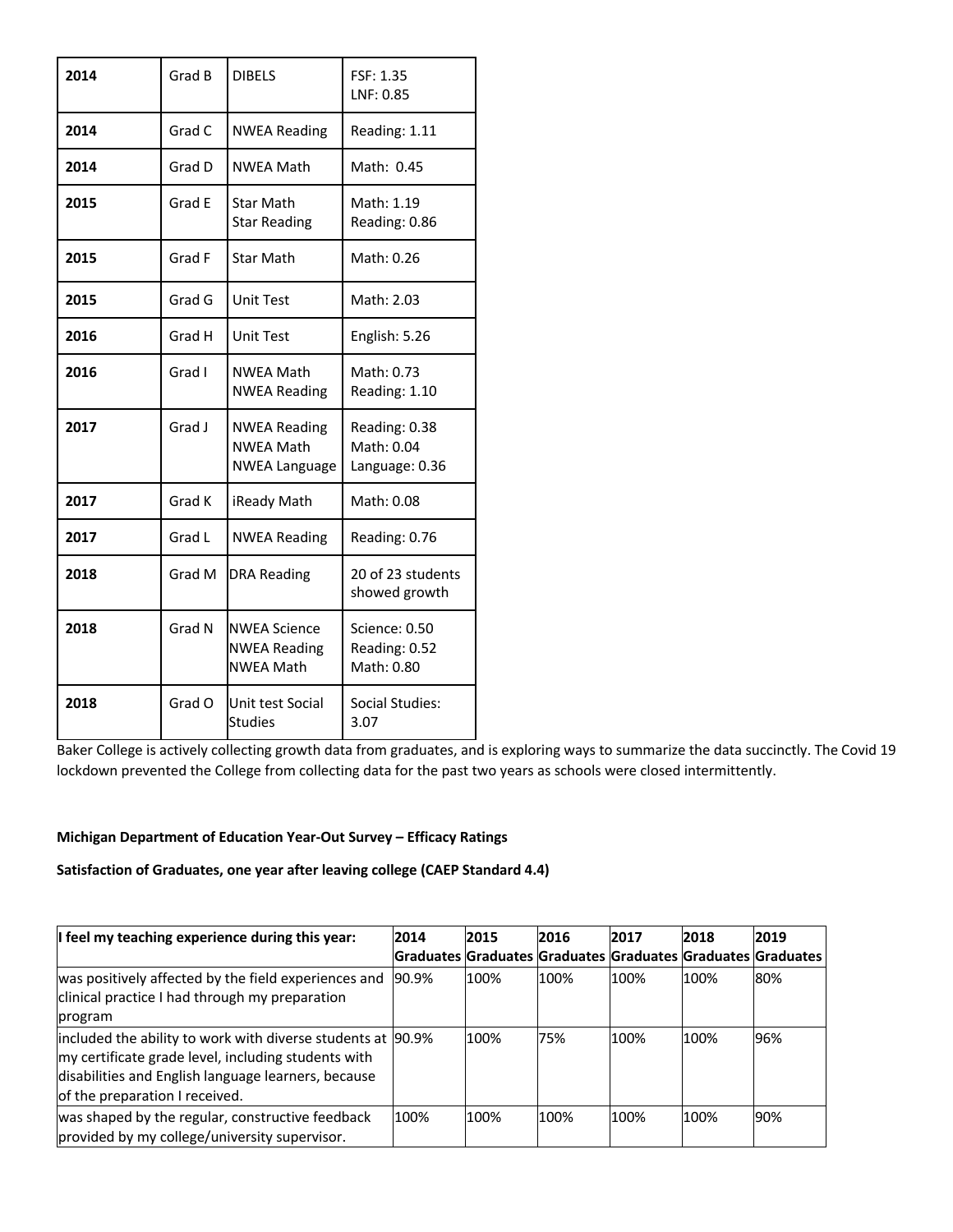| 2014 | Grad B | <b>DIBELS</b>                                                   | FSF: 1.35<br>LNF: 0.85                        |
|------|--------|-----------------------------------------------------------------|-----------------------------------------------|
| 2014 | Grad C | <b>NWEA Reading</b>                                             | Reading: 1.11                                 |
| 2014 | Grad D | NWEA Math                                                       | Math: 0.45                                    |
| 2015 | Grad E | <b>Star Math</b><br><b>Star Reading</b>                         | Math: 1.19<br>Reading: 0.86                   |
| 2015 | Grad F | <b>Star Math</b>                                                | Math: 0.26                                    |
| 2015 | Grad G | <b>Unit Test</b>                                                | Math: 2.03                                    |
| 2016 | Grad H | <b>Unit Test</b>                                                | English: 5.26                                 |
| 2016 | Grad I | NWEA Math<br><b>NWEA Reading</b>                                | Math: 0.73<br>Reading: 1.10                   |
| 2017 | Grad J | <b>NWEA Reading</b><br><b>NWEA Math</b><br><b>NWEA Language</b> | Reading: 0.38<br>Math: 0.04<br>Language: 0.36 |
| 2017 | Grad K | iReady Math                                                     | Math: 0.08                                    |
| 2017 | Grad L | <b>NWEA Reading</b>                                             | Reading: 0.76                                 |
| 2018 | Grad M | <b>DRA Reading</b>                                              | 20 of 23 students<br>showed growth            |
| 2018 | Grad N | <b>NWEA Science</b><br><b>NWEA Reading</b><br><b>NWEA Math</b>  | Science: 0.50<br>Reading: 0.52<br>Math: 0.80  |
| 2018 | Grad O | Unit test Social<br><b>Studies</b>                              | Social Studies:<br>3.07                       |

Baker College is actively collecting growth data from graduates, and is exploring ways to summarize the data succinctly. The Covid 19 lockdown prevented the College from collecting data for the past two years as schools were closed intermittently.

# **Michigan Department of Education Year-Out Survey – Efficacy Ratings**

# **Satisfaction of Graduates, one year after leaving college (CAEP Standard 4.4)**

| I feel my teaching experience during this year:                                                                                                                                                             | 2014  | 2015 | 2016 | 2017 | 2018 | 2019                                                        |
|-------------------------------------------------------------------------------------------------------------------------------------------------------------------------------------------------------------|-------|------|------|------|------|-------------------------------------------------------------|
|                                                                                                                                                                                                             |       |      |      |      |      | Graduates Graduates Graduates Graduates Graduates Graduates |
| was positively affected by the field experiences and<br>clinical practice I had through my preparation<br>program                                                                                           | 90.9% | 100% | 100% | 100% | 100% | 80%                                                         |
| included the ability to work with diverse students at 90.9%<br>my certificate grade level, including students with<br>disabilities and English language learners, because<br>of the preparation I received. |       | 100% | 75%  | 100% | 100% | 96%                                                         |
| was shaped by the regular, constructive feedback<br>provided by my college/university supervisor.                                                                                                           | 100%  | 100% | 100% | 100% | 100% | 90%                                                         |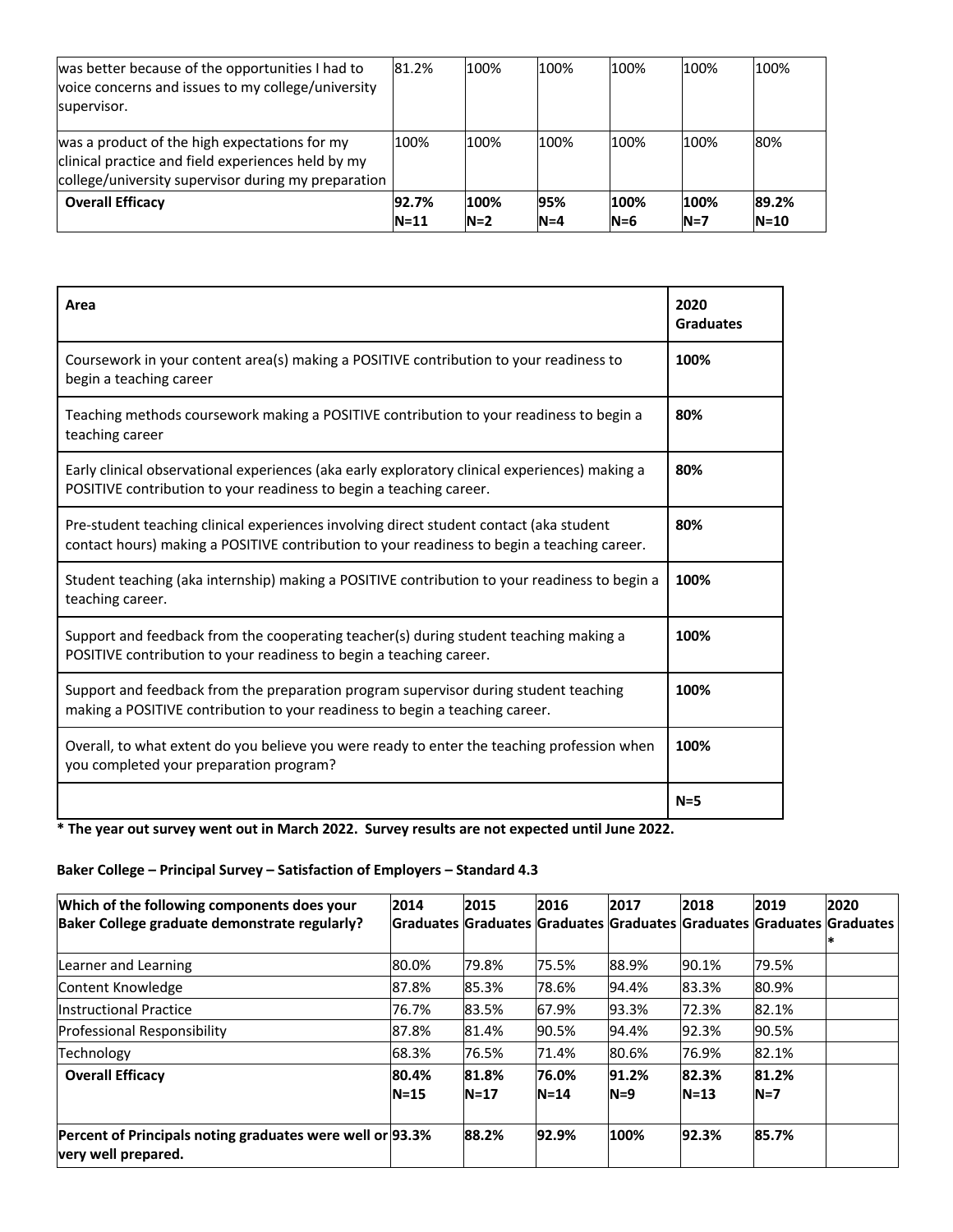| was better because of the opportunities I had to<br>voice concerns and issues to my college/university<br>supervisor.                                      | 81.2%             | 100%          | 100%           | 100%          | 100%          | 100%            |
|------------------------------------------------------------------------------------------------------------------------------------------------------------|-------------------|---------------|----------------|---------------|---------------|-----------------|
| was a product of the high expectations for my<br>clinical practice and field experiences held by my<br>college/university supervisor during my preparation | 100%              | 100%          | 100%           | 100%          | 100%          | 80%             |
| <b>Overall Efficacy</b>                                                                                                                                    | 92.7%<br>$N = 11$ | 100%<br>$N=2$ | 95%<br>$N = 4$ | 100%<br>$N=6$ | 100%<br>$N=7$ | 89.2%<br>$N=10$ |

| Area                                                                                                                                                                                   | 2020<br><b>Graduates</b> |
|----------------------------------------------------------------------------------------------------------------------------------------------------------------------------------------|--------------------------|
| Coursework in your content area(s) making a POSITIVE contribution to your readiness to<br>begin a teaching career                                                                      | 100%                     |
| Teaching methods coursework making a POSITIVE contribution to your readiness to begin a<br>teaching career                                                                             | 80%                      |
| Early clinical observational experiences (aka early exploratory clinical experiences) making a<br>POSITIVE contribution to your readiness to begin a teaching career.                  | 80%                      |
| Pre-student teaching clinical experiences involving direct student contact (aka student<br>contact hours) making a POSITIVE contribution to your readiness to begin a teaching career. | 80%                      |
| Student teaching (aka internship) making a POSITIVE contribution to your readiness to begin a<br>teaching career.                                                                      | 100%                     |
| Support and feedback from the cooperating teacher(s) during student teaching making a<br>POSITIVE contribution to your readiness to begin a teaching career.                           | 100%                     |
| Support and feedback from the preparation program supervisor during student teaching<br>making a POSITIVE contribution to your readiness to begin a teaching career.                   | 100%                     |
| Overall, to what extent do you believe you were ready to enter the teaching profession when<br>you completed your preparation program?                                                 | 100%                     |
|                                                                                                                                                                                        | $N = 5$                  |

**\* The year out survey went out in March 2022. Survey results are not expected until June 2022.**

# **Baker College – Principal Survey – Satisfaction of Employers – Standard 4.3**

| Which of the following components does your<br>Baker College graduate demonstrate regularly? | 2014            | 2015          | 2016              | 2017           | 2018            | 2019           | 2020<br>Graduates Graduates Graduates Graduates Graduates Graduates Graduates |
|----------------------------------------------------------------------------------------------|-----------------|---------------|-------------------|----------------|-----------------|----------------|-------------------------------------------------------------------------------|
| Learner and Learning                                                                         | 80.0%           | 79.8%         | 75.5%             | 88.9%          | 90.1%           | 79.5%          |                                                                               |
| Content Knowledge                                                                            | 87.8%           | 85.3%         | 78.6%             | 94.4%          | 83.3%           | 80.9%          |                                                                               |
| Instructional Practice                                                                       | 76.7%           | 83.5%         | 67.9%             | 93.3%          | 72.3%           | 82.1%          |                                                                               |
| Professional Responsibility                                                                  | 87.8%           | 81.4%         | 90.5%             | 94.4%          | 92.3%           | 90.5%          |                                                                               |
| Technology                                                                                   | 68.3%           | 76.5%         | 71.4%             | 80.6%          | 76.9%           | 82.1%          |                                                                               |
| <b>Overall Efficacy</b>                                                                      | 80.4%<br>$N=15$ | 81.8%<br>N=17 | 76.0%<br>$N = 14$ | 91.2%<br>$N=9$ | 82.3%<br>$N=13$ | 81.2%<br>$N=7$ |                                                                               |
| Percent of Principals noting graduates were well or 93.3%<br>very well prepared.             |                 | 88.2%         | 92.9%             | 100%           | 92.3%           | 85.7%          |                                                                               |